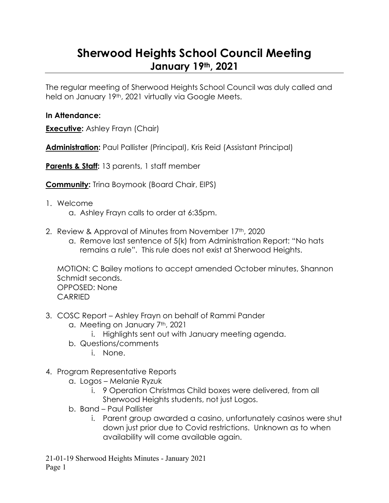## **Sherwood Heights School Council Meeting January 19th, 2021**

The regular meeting of Sherwood Heights School Council was duly called and held on January 19th, 2021 virtually via Google Meets.

## **In Attendance:**

**Executive:** Ashley Frayn (Chair)

**Administration:** Paul Pallister (Principal), Kris Reid (Assistant Principal)

**Parents & Staff:** 13 parents, 1 staff member

**Community:** Trina Boymook (Board Chair, EIPS)

- 1. Welcome
	- a. Ashley Frayn calls to order at 6:35pm.
- 2. Review & Approval of Minutes from November 17th, 2020
	- a. Remove last sentence of 5(k) from Administration Report: "No hats remains a rule". This rule does not exist at Sherwood Heights.

MOTION: C Bailey motions to accept amended October minutes, Shannon Schmidt seconds. OPPOSED: None CARRIED

- 3. COSC Report Ashley Frayn on behalf of Rammi Pander
	- a. Meeting on January 7<sup>th</sup>, 2021
		- i. Highlights sent out with January meeting agenda.
	- b. Questions/comments
		- i. None.
- 4. Program Representative Reports
	- a. Logos Melanie Ryzuk
		- i. 9 Operation Christmas Child boxes were delivered, from all Sherwood Heights students, not just Logos.
	- b. Band Paul Pallister
		- i. Parent group awarded a casino, unfortunately casinos were shut down just prior due to Covid restrictions. Unknown as to when availability will come available again.

21-01-19 Sherwood Heights Minutes - January 2021 Page 1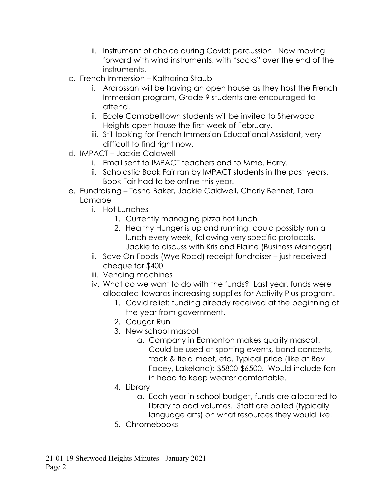- ii. Instrument of choice during Covid: percussion. Now moving forward with wind instruments, with "socks" over the end of the instruments.
- c. French Immersion Katharina Staub
	- i. Ardrossan will be having an open house as they host the French Immersion program, Grade 9 students are encouraged to attend.
	- ii. Ecole Campbelltown students will be invited to Sherwood Heights open house the first week of February.
	- iii. Still looking for French Immersion Educational Assistant, very difficult to find right now.
- d. IMPACT Jackie Caldwell
	- i. Email sent to IMPACT teachers and to Mme. Harry.
	- ii. Scholastic Book Fair ran by IMPACT students in the past years. Book Fair had to be online this year.
- e. Fundraising Tasha Baker, Jackie Caldwell, Charly Bennet, Tara Lamabe
	- i. Hot Lunches
		- 1. Currently managing pizza hot lunch
		- 2. Healthy Hunger is up and running, could possibly run a lunch every week, following very specific protocols. Jackie to discuss with Kris and Elaine (Business Manager).
	- ii. Save On Foods (Wye Road) receipt fundraiser just received cheque for \$400
	- iii. Vending machines
	- iv. What do we want to do with the funds? Last year, funds were allocated towards increasing supplies for Activity Plus program.
		- 1. Covid relief: funding already received at the beginning of the year from government.
		- 2. Cougar Run
		- 3. New school mascot
			- a. Company in Edmonton makes quality mascot. Could be used at sporting events, band concerts, track & field meet, etc. Typical price (like at Bev Facey, Lakeland): \$5800-\$6500. Would include fan in head to keep wearer comfortable.
		- 4. Library
			- a. Each year in school budget, funds are allocated to library to add volumes. Staff are polled (typically language arts) on what resources they would like.
		- 5. Chromebooks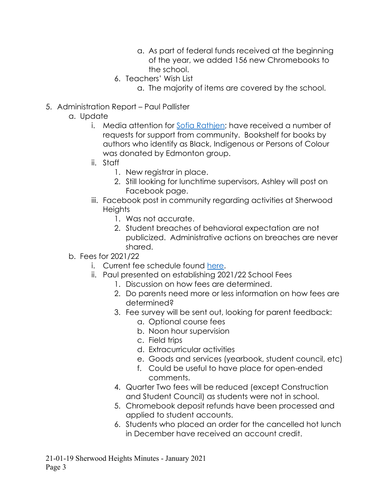- a. As part of federal funds received at the beginning of the year, we added 156 new Chromebooks to the school.
- 6. Teachers' Wish List
	- a. The majority of items are covered by the school.
- 5. Administration Report Paul Pallister
	- a. Update
		- i. Media attention for [Sofia Rathjen;](https://www.eips.ca/about-us/whats-new/post/sherwood-heights-junior-high-student-awarded-grant-to-diversify-school-s-library) have received a number of requests for support from community. Bookshelf for books by authors who identify as Black, Indigenous or Persons of Colour was donated by Edmonton group.
		- ii. Staff
			- 1. New registrar in place.
			- 2. Still looking for lunchtime supervisors, Ashley will post on Facebook page.
		- iii. Facebook post in community regarding activities at Sherwood **Heights** 
			- 1. Was not accurate.
			- 2. Student breaches of behavioral expectation are not publicized. Administrative actions on breaches are never shared.
	- b. Fees for 2021/22
		- i. Current fee schedule found [here.](https://www.sherwoodheights.org/download/262670)
		- ii. Paul presented on establishing 2021/22 School Fees
			- 1. Discussion on how fees are determined.
			- 2. Do parents need more or less information on how fees are determined?
			- 3. Fee survey will be sent out, looking for parent feedback:
				- a. Optional course fees
				- b. Noon hour supervision
				- c. Field trips
				- d. Extracurricular activities
				- e. Goods and services (yearbook, student council, etc)
				- f. Could be useful to have place for open-ended comments.
			- 4. Quarter Two fees will be reduced (except Construction and Student Council) as students were not in school.
			- 5. Chromebook deposit refunds have been processed and applied to student accounts.
			- 6. Students who placed an order for the cancelled hot lunch in December have received an account credit.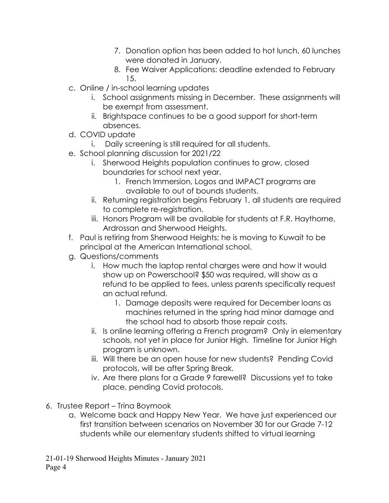- 7. Donation option has been added to hot lunch, 60 lunches were donated in January.
- 8. Fee Waiver Applications: deadline extended to February 15.
- c. Online / in-school learning updates
	- i. School assignments missing in December. These assignments will be exempt from assessment.
	- ii. Brightspace continues to be a good support for short-term absences.
- d. COVID update
	- i. Daily screening is still required for all students.
- e. School planning discussion for 2021/22
	- i. Sherwood Heights population continues to grow, closed boundaries for school next year.
		- 1. French Immersion, Logos and IMPACT programs are available to out of bounds students.
	- ii. Returning registration begins February 1, all students are required to complete re-registration.
	- iii. Honors Program will be available for students at F.R. Haythorne, Ardrossan and Sherwood Heights.
- f. Paul is retiring from Sherwood Heights; he is moving to Kuwait to be principal at the American International school.
- g. Questions/comments
	- i. How much the laptop rental charges were and how it would show up on Powerschool? \$50 was required, will show as a refund to be applied to fees, unless parents specifically request an actual refund.
		- 1. Damage deposits were required for December loans as machines returned in the spring had minor damage and the school had to absorb those repair costs.
	- ii. Is online learning offering a French program? Only in elementary schools, not yet in place for Junior High. Timeline for Junior High program is unknown.
	- iii. Will there be an open house for new students? Pending Covid protocols, will be after Spring Break.
	- iv. Are there plans for a Grade 9 farewell? Discussions yet to take place, pending Covid protocols.
- 6. Trustee Report Trina Boymook
	- a. Welcome back and Happy New Year. We have just experienced our first transition between scenarios on November 30 for our Grade 7-12 students while our elementary students shifted to virtual learning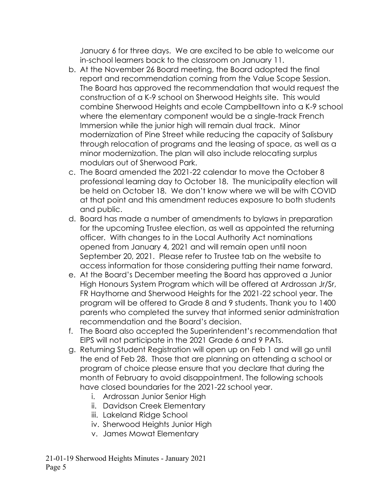January 6 for three days. We are excited to be able to welcome our in-school learners back to the classroom on January 11.

- b. At the November 26 Board meeting, the Board adopted the final report and recommendation coming from the Value Scope Session. The Board has approved the recommendation that would request the construction of a K-9 school on Sherwood Heights site. This would combine Sherwood Heights and ecole Campbelltown into a K-9 school where the elementary component would be a single-track French Immersion while the junior high will remain dual track. Minor modernization of Pine Street while reducing the capacity of Salisbury through relocation of programs and the leasing of space, as well as a minor modernization. The plan will also include relocating surplus modulars out of Sherwood Park.
- c. The Board amended the 2021-22 calendar to move the October 8 professional learning day to October 18. The municipality election will be held on October 18. We don't know where we will be with COVID at that point and this amendment reduces exposure to both students and public.
- d. Board has made a number of amendments to bylaws in preparation for the upcoming Trustee election, as well as appointed the returning officer. With changes to in the Local Authority Act nominations opened from January 4, 2021 and will remain open until noon September 20, 2021. Please refer to Trustee tab on the website to access information for those considering putting their name forward.
- e. At the Board's December meeting the Board has approved a Junior High Honours System Program which will be offered at Ardrossan Jr/Sr, FR Haythorne and Sherwood Heights for the 2021-22 school year. The program will be offered to Grade 8 and 9 students. Thank you to 1400 parents who completed the survey that informed senior administration recommendation and the Board's decision.
- f. The Board also accepted the Superintendent's recommendation that EIPS will not participate in the 2021 Grade 6 and 9 PATs.
- g. Returning Student Registration will open up on Feb 1 and will go until the end of Feb 28. Those that are planning on attending a school or program of choice please ensure that you declare that during the month of February to avoid disappointment. The following schools have closed boundaries for the 2021-22 school year.
	- i. Ardrossan Junior Senior High
	- ii. Davidson Creek Elementary
	- iii. Lakeland Ridge School
	- iv. Sherwood Heights Junior High
	- v. James Mowat Elementary